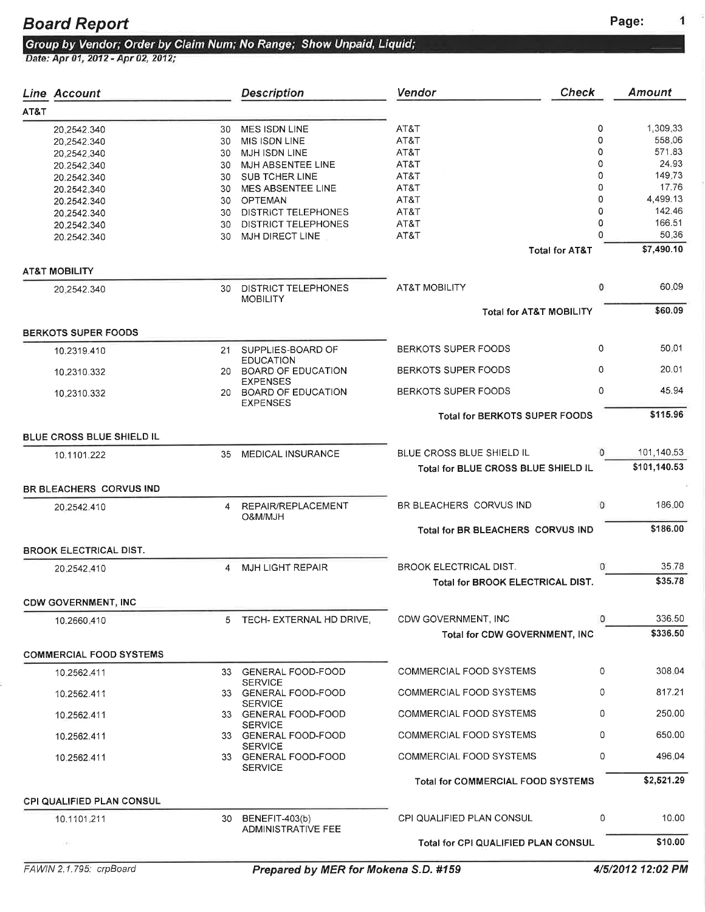1

# Board Report<br>Group by Vendor; Order by Claim Num; No Range; Show Unpaid, Liquid;<br>Date: Apr 01, 2012 - Apr 02, 2012;

|      | <b>Line Account</b>            |    | <b>Description</b>                                           | Vendor                               | <b>Check</b>              | <b>Amount</b> |
|------|--------------------------------|----|--------------------------------------------------------------|--------------------------------------|---------------------------|---------------|
| AT&T |                                |    |                                                              |                                      |                           |               |
|      | 20.2542.340                    | 30 | <b>MES ISDN LINE</b>                                         | AT&T                                 | 0                         | 1,309.33      |
|      |                                |    | MIS ISDN LINE                                                | AT&T                                 | 0                         | 558.06        |
|      | 20.2542.340                    | 30 |                                                              |                                      |                           |               |
|      | 20,2542,340                    | 30 | MJH ISDN LINE                                                | AT&T                                 | 0                         | 571.83        |
|      | 20.2542.340                    | 30 | MJH ABSENTEE LINE                                            | AT&T                                 | $\Omega$                  | 24.93         |
|      | 20.2542.340                    | 30 | <b>SUB TCHER LINE</b>                                        | AT&T                                 | 0                         | 149.73        |
|      | 20.2542,340                    | 30 | MES ABSENTEE LINE                                            | AT&T                                 | 0                         | 17.76         |
|      |                                |    |                                                              | AT&T                                 | 0                         | 4,499.13      |
|      | 20.2542.340                    | 30 | OPTEMAN                                                      |                                      |                           |               |
|      | 20,2542.340                    |    | 30 DISTRICT TELEPHONES                                       | AT&T                                 | 0                         | 142.46        |
|      | 20.2542.340                    | 30 | <b>DISTRICT TELEPHONES</b>                                   | AT&T                                 | 0                         | 166.51        |
|      | 20.2542.340                    | 30 | MJH DIRECT LINE                                              | AT&T                                 | $\Omega$                  | 50.36         |
|      |                                |    |                                                              |                                      | <b>Total for AT&amp;T</b> | \$7,490.10    |
|      | <b>AT&amp;T MOBILITY</b>       |    |                                                              |                                      |                           |               |
|      | 20.2542.340                    | 30 | <b>DISTRICT TELEPHONES</b>                                   | <b>AT&amp;T MOBILITY</b>             | $\circ$                   | 60.09         |
|      |                                |    | <b>MOBILITY</b>                                              |                                      |                           |               |
|      |                                |    |                                                              | <b>Total for AT&amp;T MOBILITY</b>   |                           | \$60.09       |
|      | <b>BERKOTS SUPER FOODS</b>     |    |                                                              |                                      |                           |               |
|      | 10.2319.410                    | 21 | SUPPLIES-BOARD OF                                            | BERKOTS SUPER FOODS                  | 0                         | 50.01         |
|      | 10.2310.332                    |    | <b>EDUCATION</b><br>20 BOARD OF EDUCATION<br><b>EXPENSES</b> | <b>BERKOTS SUPER FOODS</b>           | 0                         | 20.01         |
|      | 10.2310.332                    |    | 20 BOARD OF EDUCATION<br><b>EXPENSES</b>                     | <b>BERKOTS SUPER FOODS</b>           | 0                         | 45.94         |
|      |                                |    |                                                              | <b>Total for BERKOTS SUPER FOODS</b> |                           | \$115.96      |
|      | BLUE CROSS BLUE SHIELD IL      |    |                                                              |                                      |                           |               |
|      | 10.1101.222                    | 35 | <b>MEDICAL INSURANCE</b>                                     | BLUE CROSS BLUE SHIELD IL            |                           | 101,140.53    |
|      |                                |    |                                                              | Total for BLUE CROSS BLUE SHIELD IL  |                           | \$101,140.53  |
|      | BR BLEACHERS CORVUS IND        |    |                                                              |                                      |                           |               |
|      | 20.2542.410                    |    | 4 REPAIR/REPLACEMENT                                         | BR BLEACHERS CORVUS IND              | $^{\circ}$                | 186.00        |
|      |                                |    | HLM/MJAO                                                     | Total for BR BLEACHERS CORVUS IND    |                           | \$186.00      |
|      | <b>BROOK ELECTRICAL DIST.</b>  |    |                                                              |                                      |                           |               |
|      | 20.2542.410                    | 4  | <b>MJH LIGHT REPAIR</b>                                      | <b>BROOK ELECTRICAL DIST.</b>        | 0                         | 35.78         |
|      |                                |    |                                                              | Total for BROOK ELECTRICAL DIST.     |                           | \$35.78       |
|      | <b>CDW GOVERNMENT, INC</b>     |    |                                                              |                                      |                           |               |
|      | 10.2660.410                    |    | 5 TECH- EXTERNAL HD DRIVE,                                   | CDW GOVERNMENT, INC                  | 0                         | 336.50        |
|      |                                |    |                                                              | Total for CDW GOVERNMENT, INC        |                           | \$336.50      |
|      | <b>COMMERCIAL FOOD SYSTEMS</b> |    |                                                              |                                      |                           |               |
|      | 10.2562.411                    |    | 33 GENERAL FOOD-FOOD                                         | COMMERCIAL FOOD SYSTEMS              | 0                         | 308.04        |
|      | 10.2562.411                    |    | <b>SERVICE</b><br>33 GENERAL FOOD-FOOD                       | COMMERCIAL FOOD SYSTEMS              | 0                         | 817.21        |
|      | 10.2562.411                    |    | <b>SERVICE</b><br>33 GENERAL FOOD-FOOD<br><b>SERVICE</b>     | COMMERCIAL FOOD SYSTEMS              | 0                         | 250.00        |
|      | 10.2562.411                    |    | 33 GENERAL FOOD-FOOD                                         | <b>COMMERCIAL FOOD SYSTEMS</b>       | 0                         | 650.00        |
|      | 10.2562.411                    |    | <b>SERVICE</b><br>33 GENERAL FOOD-FOOD<br><b>SERVICE</b>     | COMMERCIAL FOOD SYSTEMS              | 0                         | 496.04        |
|      |                                |    |                                                              | Total for COMMERCIAL FOOD SYSTEMS    |                           | \$2,521.29    |
|      | CPI QUALIFIED PLAN CONSUL      |    |                                                              |                                      |                           |               |
|      | 10.1101.211                    | 30 | BENEFIT-403(b)<br><b>ADMINISTRATIVE FEE</b>                  | CPI QUALIFIED PLAN CONSUL            | 0                         | 10.00         |
|      | $\mathcal{L}(\mathcal{M})$ .   |    |                                                              | Total for CPI QUALIFIED PLAN CONSUL  |                           | \$10.00       |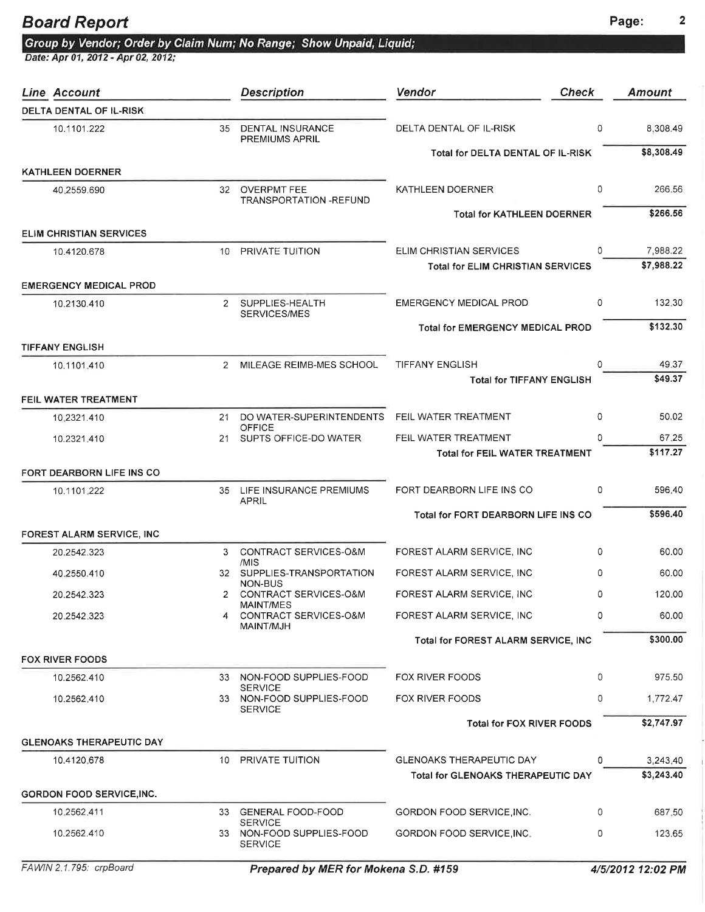## Board Report Page: 2

|  |  | Group by Vendor; Order by Claim Num; No Range; Show Unpaid, Liquid |  |
|--|--|--------------------------------------------------------------------|--|

| Line Account                     |                | <b>Description</b>                                            | <b>Check</b><br>Vendor                                              |   | Amount                 |
|----------------------------------|----------------|---------------------------------------------------------------|---------------------------------------------------------------------|---|------------------------|
| DELTA DENTAL OF IL-RISK          |                |                                                               |                                                                     |   |                        |
| 10.1101.222                      | 35             | <b>DENTAL INSURANCE</b><br>PREMIUMS APRIL                     | DELTA DENTAL OF IL-RISK                                             | 0 | 8,308.49               |
|                                  |                |                                                               | Total for DELTA DENTAL OF IL-RISK                                   |   | \$8,308.49             |
| <b>KATHLEEN DOERNER</b>          |                |                                                               |                                                                     |   |                        |
| 40.2559.690                      | 32             | <b>OVERPMT FEE</b><br>TRANSPORTATION - REFUND                 | KATHLEEN DOERNER                                                    | 0 | 266.56                 |
| <b>ELIM CHRISTIAN SERVICES</b>   |                |                                                               | <b>Total for KATHLEEN DOERNER</b>                                   |   | \$266.56               |
|                                  |                |                                                               |                                                                     |   |                        |
| 10.4120.678                      | 10             | PRIVATE TUITION                                               | ELIM CHRISTIAN SERVICES<br><b>Total for ELIM CHRISTIAN SERVICES</b> | 0 | 7,988.22<br>\$7,988.22 |
| <b>EMERGENCY MEDICAL PROD</b>    |                |                                                               |                                                                     |   |                        |
| 10.2130.410                      | $\mathbf{2}$   | SUPPLIES-HEALTH<br>SERVICES/MES                               | <b>EMERGENCY MEDICAL PROD</b>                                       | 0 | 132,30                 |
|                                  |                |                                                               | <b>Total for EMERGENCY MEDICAL PROD</b>                             |   | \$132.30               |
| <b>TIFFANY ENGLISH</b>           |                |                                                               |                                                                     |   |                        |
| 10.1101.410                      | $\overline{2}$ | MILEAGE REIMB-MES SCHOOL                                      | <b>TIFFANY ENGLISH</b>                                              | 0 | 49.37                  |
|                                  |                |                                                               | <b>Total for TIFFANY ENGLISH</b>                                    |   | \$49.37                |
| FEIL WATER TREATMENT             |                |                                                               |                                                                     |   |                        |
| 10.2321.410                      | 21             | DO WATER-SUPERINTENDENTS<br><b>OFFICE</b>                     | FEIL WATER TREATMENT                                                | 0 | 50.02                  |
| 10.2321.410                      | 21             | SUPTS OFFICE-DO WATER                                         | FEIL WATER TREATMENT                                                | 0 | 67.25                  |
|                                  |                |                                                               | <b>Total for FEIL WATER TREATMENT</b>                               |   | \$117.27               |
| FORT DEARBORN LIFE INS CO        |                |                                                               |                                                                     |   |                        |
| 10.1101.222                      |                | 35 LIFE INSURANCE PREMIUMS<br><b>APRIL</b>                    | FORT DEARBORN LIFE INS CO                                           | 0 | 596.40                 |
|                                  |                |                                                               | Total for FORT DEARBORN LIFE INS CO                                 |   | \$596.40               |
| FOREST ALARM SERVICE, INC        |                |                                                               |                                                                     |   |                        |
| 20.2542.323                      | 3              | CONTRACT SERVICES-O&M<br>/MIS                                 | FOREST ALARM SERVICE, INC                                           | 0 | 60.00                  |
| 40.2550.410                      |                | 32 SUPPLIES-TRANSPORTATION<br>NON-BUS                         | FOREST ALARM SERVICE, INC                                           | 0 | 60.00                  |
| 20.2542.323                      | 2              | CONTRACT SERVICES-O&M                                         | FOREST ALARM SERVICE, INC                                           | 0 | 120.00                 |
| 20.2542.323                      | 4              | MAINT/MES<br>CONTRACT SERVICES-O&M<br>MAINT/MJH               | FOREST ALARM SERVICE, INC                                           | 0 | 60.00                  |
|                                  |                |                                                               | Total for FOREST ALARM SERVICE, INC                                 |   | \$300.00               |
| <b>FOX RIVER FOODS</b>           |                |                                                               |                                                                     |   |                        |
| 10.2562.410                      | 33             | NON-FOOD SUPPLIES-FOOD                                        | FOX RIVER FOODS                                                     | 0 | 975.50                 |
| 10.2562.410                      |                | <b>SERVICE</b><br>33 NON-FOOD SUPPLIES-FOOD<br><b>SERVICE</b> | FOX RIVER FOODS                                                     | 0 | 1,772.47               |
|                                  |                |                                                               | <b>Total for FOX RIVER FOODS</b>                                    |   | \$2,747.97             |
| <b>GLENOAKS THERAPEUTIC DAY</b>  |                |                                                               |                                                                     |   |                        |
| 10.4120.678                      |                | 10 PRIVATE TUITION                                            | <b>GLENOAKS THERAPEUTIC DAY</b>                                     | 0 | 3,243,40               |
|                                  |                |                                                               | Total for GLENOAKS THERAPEUTIC DAY                                  |   | \$3,243.40             |
| <b>GORDON FOOD SERVICE, INC.</b> |                |                                                               |                                                                     |   |                        |
| 10.2562.411                      | 33             | <b>GENERAL FOOD-FOOD</b><br><b>SERVICE</b>                    | GORDON FOOD SERVICE INC.                                            | 0 | 687.50                 |
| 10.2562.410                      |                | 33 NON-FOOD SUPPLIES-FOOD<br><b>SERVICE</b>                   | GORDON FOOD SERVICE INC.                                            | 0 | 123.65                 |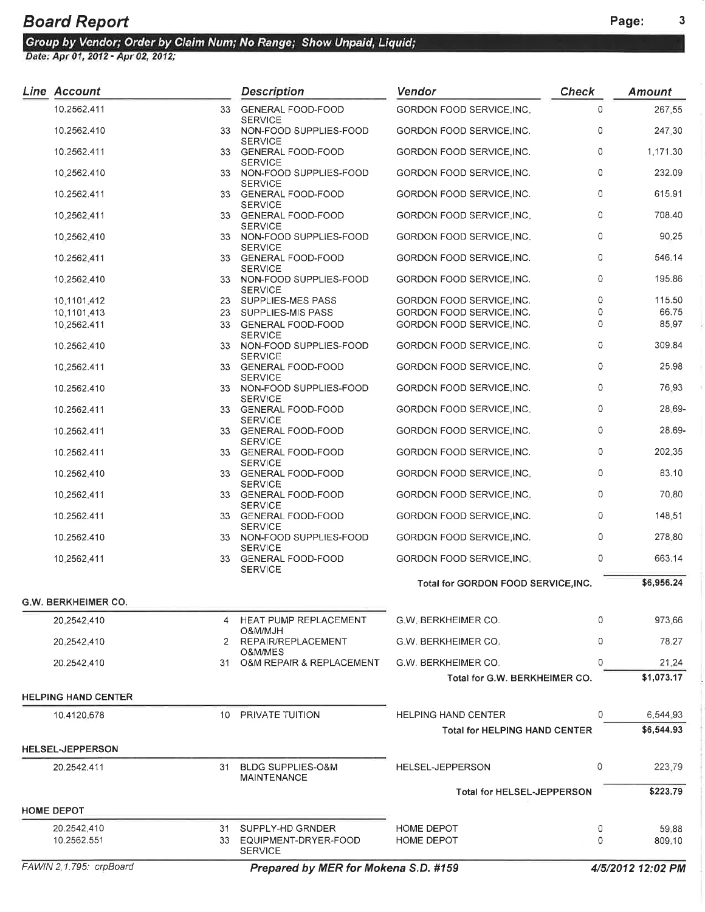| Line Account               |    | <b>Description</b>                                            | Vendor                                                             | <b>Check</b> | <b>Amount</b>          |
|----------------------------|----|---------------------------------------------------------------|--------------------------------------------------------------------|--------------|------------------------|
| 10.2562.411                |    | 33 GENERAL FOOD-FOOD                                          | GORDON FOOD SERVICE, INC.                                          | 0            | 267.55                 |
| 10.2562.410                |    | <b>SERVICE</b><br>33 NON-FOOD SUPPLIES-FOOD<br><b>SERVICE</b> | GORDON FOOD SERVICE, INC.                                          | 0            | 247.30                 |
| 10.2562.411                |    | 33 GENERAL FOOD-FOOD                                          | GORDON FOOD SERVICE, INC.                                          | $\mathbf 0$  | 1,171.30               |
| 10,2562.410                |    | <b>SERVICE</b><br>33 NON-FOOD SUPPLIES-FOOD                   | GORDON FOOD SERVICE, INC.                                          | 0            | 232.09                 |
| 10.2562.411                |    | <b>SERVICE</b><br>33 GENERAL FOOD-FOOD                        | GORDON FOOD SERVICE, INC.                                          | 0            | 615.91                 |
| 10,2562,411                |    | <b>SERVICE</b><br>33 GENERAL FOOD-FOOD                        | GORDON FOOD SERVICE, INC.                                          | $\mathbf 0$  | 708.40                 |
| 10,2562,410                |    | <b>SERVICE</b><br>33 NON-FOOD SUPPLIES-FOOD                   | GORDON FOOD SERVICE, INC.                                          | $\circ$      | 90.25                  |
| 10.2562,411                |    | <b>SERVICE</b><br>33 GENERAL FOOD-FOOD                        | GORDON FOOD SERVICE, INC.                                          | 0            | 546.14                 |
| 10:2562.410                |    | <b>SERVICE</b><br>33 NON-FOOD SUPPLIES-FOOD<br><b>SERVICE</b> | GORDON FOOD SERVICE, INC.                                          | 0            | 195.86                 |
| 10.1101.412                |    | 23 SUPPLIES-MES PASS                                          | GORDON FOOD SERVICE, INC.                                          | $\circ$      | 115.50                 |
|                            |    | SUPPLIES-MIS PASS                                             | GORDON FOOD SERVICE, INC.                                          | 0            | 66.75                  |
| 10,1101,413                | 23 |                                                               |                                                                    |              |                        |
| 10.2562.411                |    | 33 GENERAL FOOD-FOOD<br><b>SERVICE</b>                        | GORDON FOOD SERVICE, INC.                                          | 0            | 85.97                  |
| 10.2562,410                |    | 33 NON-FOOD SUPPLIES-FOOD<br><b>SERVICE</b>                   | GORDON FOOD SERVICE, INC.                                          | 0            | 309.84                 |
| 10,2562.411                |    | 33 GENERAL FOOD-FOOD<br><b>SERVICE</b>                        | GORDON FOOD SERVICE, INC.                                          | $\circ$      | 25.98                  |
| 10.2562.410                |    | 33 NON-FOOD SUPPLIES-FOOD<br><b>SERVICE</b>                   | <b>GORDON FOOD SERVICE, INC.</b>                                   | 0            | 76.93                  |
| 10.2562.411                |    | 33 GENERAL FOOD-FOOD<br><b>SERVICE</b>                        | GORDON FOOD SERVICE, INC.                                          | $\circ$      | 28.69-                 |
| 10.2562.411                |    | 33 GENERAL FOOD-FOOD<br><b>SERVICE</b>                        | GORDON FOOD SERVICE, INC.                                          | 0            | 28.69-                 |
| 10.2562.411                |    | 33 GENERAL FOOD-FOOD<br><b>SERVICE</b>                        | GORDON FOOD SERVICE, INC.                                          | 0            | 202,35                 |
| 10.2562,410                |    | 33 GENERAL FOOD-FOOD<br><b>SERVICE</b>                        | GORDON FOOD SERVICE, INC.                                          | 0            | 83.10                  |
| 10.2562.411                |    | 33 GENERAL FOOD-FOOD<br><b>SERVICE</b>                        | GORDON FOOD SERVICE, INC.                                          | 0            | 70.80                  |
| 10.2562.411                |    | 33 GENERAL FOOD-FOOD<br><b>SERVICE</b>                        | GORDON FOOD SERVICE, INC.                                          | $\mathbf 0$  | 148.51                 |
| 10.2562.410                |    | 33 NON-FOOD SUPPLIES-FOOD<br><b>SERVICE</b>                   | GORDON FOOD SERVICE, INC.                                          | 0            | 278.80                 |
| 10.2562.411                |    | 33 GENERAL FOOD-FOOD<br><b>SERVICE</b>                        | <b>GORDON FOOD SERVICE, INC.</b>                                   | 0            | 663.14                 |
|                            |    |                                                               | Total for GORDON FOOD SERVICE.INC.                                 |              | \$6,956.24             |
| <b>G.W. BERKHEIMER CO.</b> |    |                                                               |                                                                    |              |                        |
| 20,2542,410                | 4  | <b>HEAT PUMP REPLACEMENT</b><br>O&M/MJH                       | <b>G.W. BERKHEIMER CO.</b>                                         | $\Omega$     | 973.66                 |
| 20.2542.410                | 2  | REPAIR/REPLACEMENT<br>O&M/MES                                 | <b>G.W. BERKHEIMER CO.</b>                                         | $\Omega$     | 78.27                  |
| 20.2542.410                |    | 31 O&M REPAIR & REPLACEMENT                                   | G.W. BERKHEIMER CO.                                                | 0            | 21.24                  |
|                            |    |                                                               | Total for G.W. BERKHEIMER CO.                                      |              | \$1,073.17             |
| <b>HELPING HAND CENTER</b> |    |                                                               |                                                                    |              |                        |
| 10.4120.678                | 10 | PRIVATE TUITION                                               | <b>HELPING HAND CENTER</b><br><b>Total for HELPING HAND CENTER</b> | 0            | 6,544.93<br>\$6,544.93 |
| <b>HELSEL-JEPPERSON</b>    |    |                                                               |                                                                    |              |                        |
| 20.2542.411                | 31 | <b>BLDG SUPPLIES-O&amp;M</b>                                  | HELSEL-JEPPERSON                                                   | 0            | 223.79                 |
|                            |    | <b>MAINTENANCE</b>                                            |                                                                    |              |                        |
|                            |    |                                                               | <b>Total for HELSEL-JEPPERSON</b>                                  |              | \$223.79               |
| <b>HOME DEPOT</b>          |    |                                                               |                                                                    |              |                        |
| 20.2542.410                | 31 | SUPPLY-HD GRNDER                                              | HOME DEPOT                                                         | 0            | 59.88                  |
| 10.2562.551                | 33 | EQUIPMENT-DRYER-FOOD<br><b>SERVICE</b>                        | <b>HOME DEPOT</b>                                                  | $\Omega$     | 809.10                 |
| FAWIN 2.1.795: crpBoard    |    | Prepared by MER for Mokena S.D. #159                          |                                                                    |              | 4/5/2012 12:02 PM      |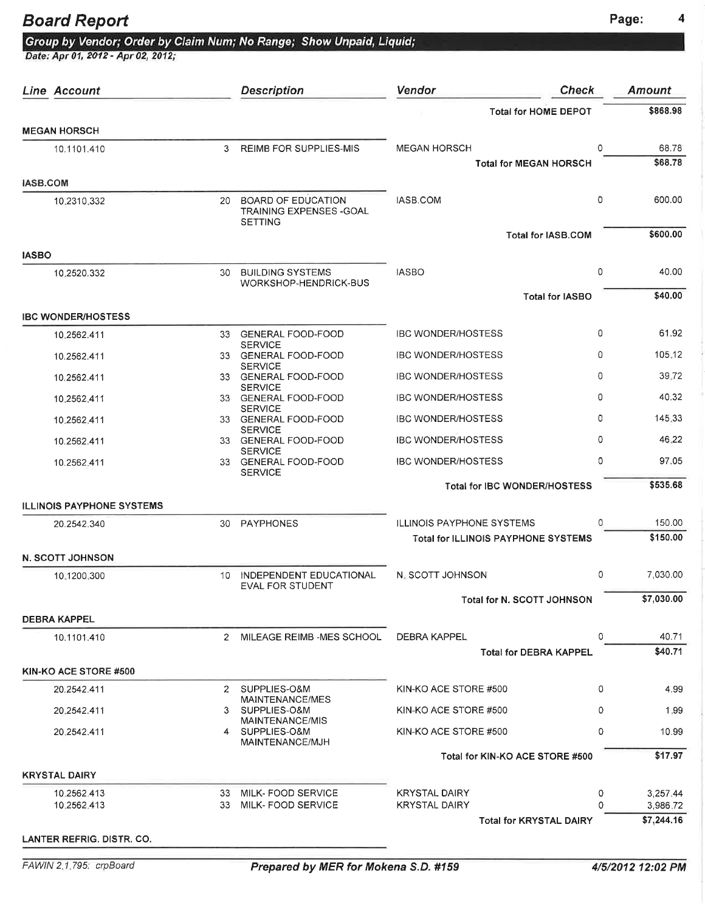#### Board Report **Page:** 4

|  |  | Group by Vendor; Order by Claim Num; No Range; Show Unpaid, Liquid |  |
|--|--|--------------------------------------------------------------------|--|
|  |  |                                                                    |  |

|                 | Line Account                     |              | <b>Description</b>                                       | Vendor                                       | <b>Check</b>                               | <b>Amount</b>        |
|-----------------|----------------------------------|--------------|----------------------------------------------------------|----------------------------------------------|--------------------------------------------|----------------------|
|                 |                                  |              |                                                          |                                              | <b>Total for HOME DEPOT</b>                | \$868.98             |
|                 | <b>MEGAN HORSCH</b>              |              |                                                          |                                              |                                            |                      |
|                 | 10.1101.410                      | 3            | <b>REIMB FOR SUPPLIES-MIS</b>                            | <b>MEGAN HORSCH</b>                          | 0                                          | 68.78<br>\$68.78     |
| <b>IASB.COM</b> |                                  |              |                                                          |                                              | <b>Total for MEGAN HORSCH</b>              |                      |
|                 | 10.2310.332                      |              | 20 BOARD OF EDUCATION                                    | IASB.COM                                     | $\circ$                                    | 600.00               |
|                 |                                  |              | <b>TRAINING EXPENSES - GOAL</b><br><b>SETTING</b>        |                                              |                                            |                      |
|                 |                                  |              |                                                          |                                              | <b>Total for IASB.COM</b>                  | \$600.00             |
| <b>IASBO</b>    |                                  |              |                                                          |                                              |                                            |                      |
|                 | 10.2520.332                      | 30           | <b>BUILDING SYSTEMS</b><br>WORKSHOP-HENDRICK-BUS         | <b>IASBO</b>                                 | 0                                          | 40.00                |
|                 |                                  |              |                                                          |                                              | <b>Total for IASBO</b>                     | \$40.00              |
|                 | <b>IBC WONDER/HOSTESS</b>        |              |                                                          |                                              |                                            |                      |
|                 | 10.2562.411                      | 33           | <b>GENERAL FOOD-FOOD</b><br><b>SERVICE</b>               | <b>IBC WONDER/HOSTESS</b>                    | 0                                          | 61.92                |
|                 | 10.2562.411                      |              | 33 GENERAL FOOD-FOOD<br><b>SERVICE</b>                   | <b>IBC WONDER/HOSTESS</b>                    | 0                                          | 105.12               |
|                 | 10.2562.411                      |              | 33 GENERAL FOOD-FOOD                                     | <b>IBC WONDER/HOSTESS</b>                    | 0                                          | 39.72                |
|                 | 10.2562.411                      |              | <b>SERVICE</b><br>33 GENERAL FOOD-FOOD                   | <b>IBC WONDER/HOSTESS</b>                    | 0                                          | 40.32                |
|                 | 10.2562.411                      |              | <b>SERVICE</b><br>33 GENERAL FOOD-FOOD                   | <b>IBC WONDER/HOSTESS</b>                    | 0                                          | 145.33               |
|                 | 10.2562.411                      |              | <b>SERVICE</b><br>33 GENERAL FOOD-FOOD                   | <b>IBC WONDER/HOSTESS</b>                    | 0                                          | 46.22                |
|                 | 10.2562.411                      |              | <b>SERVICE</b><br>33 GENERAL FOOD-FOOD<br><b>SERVICE</b> | <b>IBC WONDER/HOSTESS</b>                    | 0                                          | 97.05                |
|                 |                                  |              |                                                          |                                              | <b>Total for IBC WONDER/HOSTESS</b>        | \$535.68             |
|                 | <b>ILLINOIS PAYPHONE SYSTEMS</b> |              |                                                          |                                              |                                            |                      |
|                 | 20.2542.340                      | 30           | PAYPHONES                                                | <b>ILLINOIS PAYPHONE SYSTEMS</b>             | 0                                          | 150.00               |
|                 |                                  |              |                                                          |                                              | <b>Total for ILLINOIS PAYPHONE SYSTEMS</b> | \$150.00             |
|                 | <b>N. SCOTT JOHNSON</b>          |              |                                                          |                                              |                                            |                      |
|                 | 10.1200.300                      | 10.          | INDEPENDENT EDUCATIONAL<br><b>EVAL FOR STUDENT</b>       | N. SCOTT JOHNSON                             | 0                                          | 7,030.00             |
|                 |                                  |              |                                                          |                                              | Total for N. SCOTT JOHNSON                 | \$7,030.00           |
|                 | <b>DEBRA KAPPEL</b>              |              |                                                          |                                              |                                            |                      |
|                 | 10.1101.410                      | 2            | MILEAGE REIMB -MES SCHOOL                                | DEBRA KAPPEL                                 | 0                                          | 40.71                |
|                 |                                  |              |                                                          |                                              | <b>Total for DEBRA KAPPEL</b>              | \$40.71              |
|                 | KIN-KO ACE STORE #500            | $\mathbf{2}$ | SUPPLIES-O&M                                             | KIN-KO ACE STORE #500                        | 0                                          | 4.99                 |
|                 | 20.2542.411                      |              | MAINTENANCE/MES                                          |                                              |                                            |                      |
|                 | 20.2542.411                      | 3            | SUPPLIES-O&M<br>MAINTENANCE/MIS                          | KIN-KO ACE STORE #500                        | 0                                          | 1.99                 |
|                 | 20.2542.411                      |              | 4 SUPPLIES-O&M<br>MAINTENANCE/MJH                        | KIN-KO ACE STORE #500                        | 0                                          | 10.99                |
|                 |                                  |              |                                                          |                                              | Total for KIN-KO ACE STORE #500            | \$17.97              |
|                 | <b>KRYSTAL DAIRY</b>             |              |                                                          |                                              |                                            |                      |
|                 | 10.2562.413<br>10.2562.413       | 33<br>33     | MILK-FOOD SERVICE<br>MILK- FOOD SERVICE                  | <b>KRYSTAL DAIRY</b><br><b>KRYSTAL DAIRY</b> | 0<br>O                                     | 3,257.44<br>3,986.72 |
|                 |                                  |              |                                                          |                                              | <b>Total for KRYSTAL DAIRY</b>             | \$7,244.16           |
|                 |                                  |              |                                                          |                                              |                                            |                      |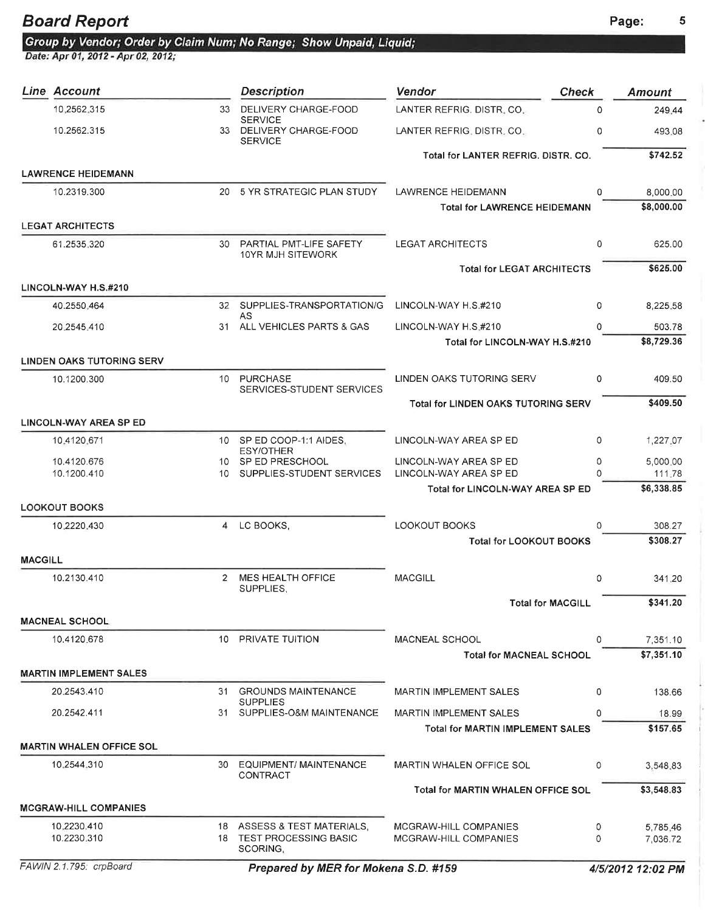×

Group by Vendor; Order by Claim Num; No Range; Show Unpaid, Liquid; Date: Apr 01, 2012 - Apr 02, 2012;

|                | Line Account                     |              | <b>Description</b>                              | Vendor                                                 | <b>Check</b>      | Amount             |
|----------------|----------------------------------|--------------|-------------------------------------------------|--------------------------------------------------------|-------------------|--------------------|
|                | 10.2562.315                      | 33           | DELIVERY CHARGE-FOOD<br><b>SERVICE</b>          | LANTER REFRIG. DISTR. CO.                              | $\Omega$          | 249.44             |
|                | 10.2562.315                      |              | 33 DELIVERY CHARGE-FOOD<br><b>SERVICE</b>       | LANTER REFRIG. DISTR. CO.                              | 0                 | 493.08             |
|                |                                  |              |                                                 | Total for LANTER REFRIG. DISTR. CO.                    |                   | \$742.52           |
|                | <b>LAWRENCE HEIDEMANN</b>        |              |                                                 |                                                        |                   |                    |
|                | 10.2319.300                      | 20           | 5 YR STRATEGIC PLAN STUDY                       | LAWRENCE HEIDEMANN                                     | <sup>0</sup>      | 8,000.00           |
|                |                                  |              |                                                 | <b>Total for LAWRENCE HEIDEMANN</b>                    |                   | \$8,000.00         |
|                | <b>LEGAT ARCHITECTS</b>          |              |                                                 |                                                        |                   |                    |
|                | 61.2535.320                      |              | 30 PARTIAL PMT-LIFE SAFETY<br>10YR MJH SITEWORK | <b>LEGAT ARCHITECTS</b>                                | 0                 | 625.00             |
|                |                                  |              |                                                 | <b>Total for LEGAT ARCHITECTS</b>                      |                   | \$625.00           |
|                | LINCOLN-WAY H.S.#210             |              |                                                 |                                                        |                   |                    |
|                | 40.2550.464                      |              | 32 SUPPLIES-TRANSPORTATION/G<br>AS              | LINCOLN-WAY H.S.#210                                   | 0                 | 8,225.58           |
|                | 20.2545.410                      | 31           | ALL VEHICLES PARTS & GAS                        | LINCOLN-WAY H.S.#210                                   | 0                 | 503.78             |
|                |                                  |              |                                                 | Total for LINCOLN-WAY H.S.#210                         |                   | \$8,729.36         |
|                | <b>LINDEN OAKS TUTORING SERV</b> |              |                                                 |                                                        |                   |                    |
|                | 10.1200.300                      | 10           | <b>PURCHASE</b><br>SERVICES-STUDENT SERVICES    | LINDEN OAKS TUTORING SERV                              | 0                 | 409.50             |
|                |                                  |              |                                                 | <b>Total for LINDEN OAKS TUTORING SERV</b>             |                   | \$409.50           |
|                | <b>LINCOLN-WAY AREA SP ED</b>    |              |                                                 |                                                        |                   |                    |
|                | 10.4120.671                      | 10           | SP ED COOP-1:1 AIDES,<br>ESY/OTHER              | LINCOLN-WAY AREA SP ED                                 | 0                 | 1,227.07           |
|                | 10.4120.676                      |              | 10 SP ED PRESCHOOL                              | LINCOLN-WAY AREA SP ED                                 | 0                 | 5,000.00           |
|                | 10.1200.410                      | 10.          | SUPPLIES-STUDENT SERVICES                       | LINCOLN-WAY AREA SP ED                                 | n                 | 111.78             |
|                |                                  |              |                                                 | Total for LINCOLN-WAY AREA SP ED                       |                   | \$6,338.85         |
|                | <b>LOOKOUT BOOKS</b>             |              |                                                 |                                                        |                   |                    |
|                | 10.2220.430                      | 4            | LC BOOKS.                                       | <b>LOOKOUT BOOKS</b><br><b>Total for LOOKOUT BOOKS</b> | 0                 | 308.27<br>\$308.27 |
|                |                                  |              |                                                 |                                                        |                   |                    |
| <b>MACGILL</b> |                                  |              |                                                 |                                                        |                   |                    |
|                | 10.2130.410                      | $\mathbf{2}$ | MES HEALTH OFFICE<br>SUPPLIES,                  | <b>MACGILL</b>                                         | 0                 | 341.20             |
|                |                                  |              |                                                 |                                                        | Total for MACGILL | \$341.20           |
|                | <b>MACNEAL SCHOOL</b>            |              |                                                 |                                                        |                   |                    |
|                | 10.4120.678                      |              | 10 PRIVATE TUITION                              | <b>MACNEAL SCHOOL</b>                                  | $\Omega$          | 7,351.10           |
|                |                                  |              |                                                 | <b>Total for MACNEAL SCHOOL</b>                        |                   | \$7,351.10         |
|                | <b>MARTIN IMPLEMENT SALES</b>    |              |                                                 |                                                        |                   |                    |
|                | 20.2543.410                      | 31           | <b>GROUNDS MAINTENANCE</b>                      | MARTIN IMPLEMENT SALES                                 | 0                 | 138.66             |
|                | 20.2542.411                      | 31           | <b>SUPPLIES</b><br>SUPPLIES-O&M MAINTENANCE     | <b>MARTIN IMPLEMENT SALES</b>                          | 0                 | 18.99              |
|                |                                  |              |                                                 | Total for MARTIN IMPLEMENT SALES                       |                   | \$157.65           |
|                | <b>MARTIN WHALEN OFFICE SOL</b>  |              |                                                 |                                                        |                   |                    |
|                | 10.2544.310                      | 30           | EQUIPMENT/ MAINTENANCE<br>CONTRACT              | MARTIN WHALEN OFFICE SOL                               | 0                 | 3,548.83           |
|                |                                  |              |                                                 | Total for MARTIN WHALEN OFFICE SOL                     |                   | \$3,548.83         |
|                | <b>MCGRAW-HILL COMPANIES</b>     |              |                                                 |                                                        |                   |                    |
|                | 10.2230.410                      |              | 18 ASSESS & TEST MATERIALS,                     | MCGRAW-HILL COMPANIES                                  | 0                 | 5,785.46           |
|                | 10.2230.310                      |              | 18 TEST PROCESSING BASIC<br>SCORING,            | MCGRAW-HILL COMPANIES                                  | 0                 | 7,036.72           |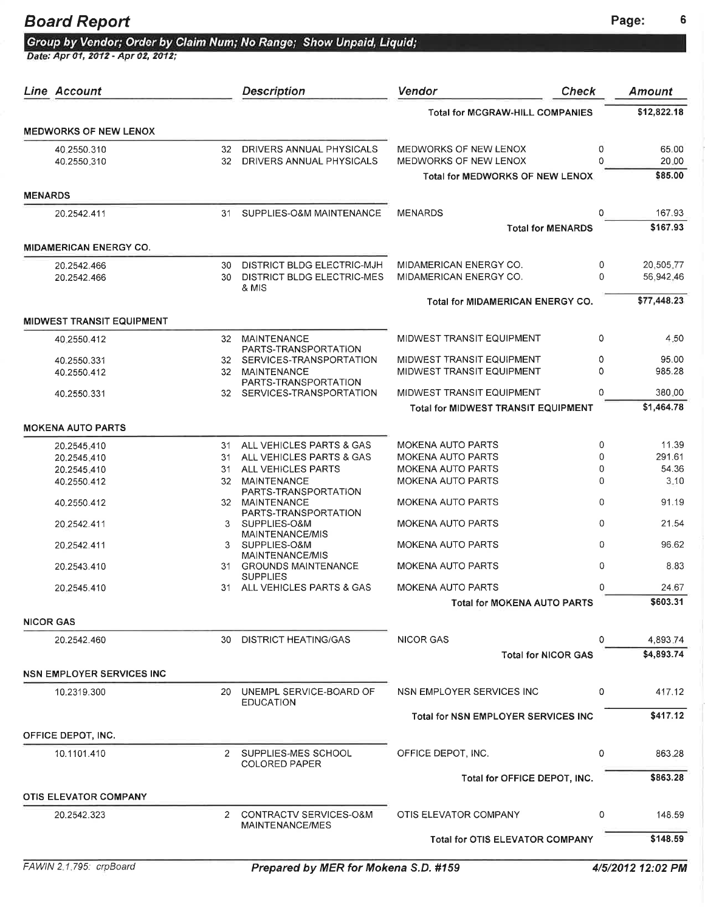## Board Report **Page:** 6

| Group by Vendor; Order by Claim Num; No Range; Show Unpaid, Liquid |  |  |  |  |
|--------------------------------------------------------------------|--|--|--|--|
|                                                                    |  |  |  |  |

| Line Account                     |                       | <b>Description</b>                                          | Vendor                                         | <b>Check</b>                       | <b>Amount</b>  |
|----------------------------------|-----------------------|-------------------------------------------------------------|------------------------------------------------|------------------------------------|----------------|
|                                  |                       |                                                             | <b>Total for MCGRAW-HILL COMPANIES</b>         |                                    | \$12,822.18    |
| <b>MEDWORKS OF NEW LENOX</b>     |                       |                                                             |                                                |                                    |                |
| 40.2550.310<br>40.2550.310       | 32<br>32 <sup>2</sup> | DRIVERS ANNUAL PHYSICALS<br>DRIVERS ANNUAL PHYSICALS        | MEDWORKS OF NEW LENOX<br>MEDWORKS OF NEW LENOX | 0<br>$\Omega$                      | 65.00<br>20.00 |
|                                  |                       |                                                             | <b>Total for MEDWORKS OF NEW LENOX</b>         |                                    | \$85.00        |
| <b>MENARDS</b>                   |                       |                                                             |                                                |                                    |                |
| 20.2542.411                      | 31                    | SUPPLIES-O&M MAINTENANCE                                    | <b>MENARDS</b>                                 | 0                                  | 167.93         |
|                                  |                       |                                                             |                                                | <b>Total for MENARDS</b>           | \$167.93       |
| <b>MIDAMERICAN ENERGY CO.</b>    |                       |                                                             |                                                |                                    |                |
| 20.2542.466                      | 30                    | DISTRICT BLDG ELECTRIC-MJH                                  | MIDAMERICAN ENERGY CO.                         | 0                                  | 20,505.77      |
| 20.2542.466                      | 30                    | <b>DISTRICT BLDG ELECTRIC-MES</b><br>& MIS                  | MIDAMERICAN ENERGY CO.                         | 0                                  | 56,942.46      |
|                                  |                       |                                                             | <b>Total for MIDAMERICAN ENERGY CO.</b>        |                                    | \$77,448.23    |
| <b>MIDWEST TRANSIT EQUIPMENT</b> |                       |                                                             |                                                |                                    |                |
| 40.2550.412                      |                       | 32 MAINTENANCE<br>PARTS-TRANSPORTATION                      | MIDWEST TRANSIT EQUIPMENT                      | 0                                  | 4.50           |
| 40.2550.331                      |                       | 32 SERVICES-TRANSPORTATION                                  | MIDWEST TRANSIT EQUIPMENT                      | 0                                  | 95.00          |
| 40.2550.412                      | 32                    | MAINTENANCE<br>PARTS-TRANSPORTATION                         | MIDWEST TRANSIT EQUIPMENT                      | $\Omega$                           | 985.28         |
| 40.2550.331                      |                       | 32 SERVICES-TRANSPORTATION                                  | MIDWEST TRANSIT EQUIPMENT                      | $\Omega$                           | 380.00         |
|                                  |                       |                                                             | <b>Total for MIDWEST TRANSIT EQUIPMENT</b>     |                                    | \$1,464.78     |
| <b>MOKENA AUTO PARTS</b>         |                       |                                                             |                                                |                                    |                |
| 20.2545.410                      | 31                    | ALL VEHICLES PARTS & GAS                                    | <b>MOKENA AUTO PARTS</b>                       | 0                                  | 11.39          |
| 20.2545.410                      | 31                    | ALL VEHICLES PARTS & GAS                                    | <b>MOKENA AUTO PARTS</b>                       | $\Omega$                           | 291.61         |
| 20.2545.410                      | 31                    | ALL VEHICLES PARTS                                          | <b>MOKENA AUTO PARTS</b>                       | 0                                  | 54.36          |
| 40.2550.412                      | 32                    | MAINTENANCE<br>PARTS-TRANSPORTATION                         | <b>MOKENA AUTO PARTS</b>                       | $\mathbf 0$                        | 3.10           |
| 40.2550.412                      |                       | 32 MAINTENANCE<br>PARTS-TRANSPORTATION                      | <b>MOKENA AUTO PARTS</b>                       | 0                                  | 91.19          |
| 20.2542.411                      | 3.                    | SUPPLIES-O&M                                                | <b>MOKENA AUTO PARTS</b>                       | 0                                  | 21.54          |
| 20.2542.411                      |                       | MAINTENANCE/MIS<br>3 SUPPLIES-O&M<br><b>MAINTENANCE/MIS</b> | <b>MOKENA AUTO PARTS</b>                       | 0                                  | 96.62          |
| 20.2543.410                      | 31.                   | <b>GROUNDS MAINTENANCE</b><br><b>SUPPLIES</b>               | <b>MOKENA AUTO PARTS</b>                       | 0                                  | 8.83           |
| 20.2545.410                      | 31.                   | ALL VEHICLES PARTS & GAS                                    | <b>MOKENA AUTO PARTS</b>                       | 0                                  | 24.67          |
|                                  |                       |                                                             |                                                | <b>Total for MOKENA AUTO PARTS</b> | \$603.31       |
| <b>NICOR GAS</b>                 |                       |                                                             |                                                |                                    |                |
| 20.2542.460                      | 30                    | <b>DISTRICT HEATING/GAS</b>                                 | <b>NICOR GAS</b>                               | 0                                  | 4,893.74       |
|                                  |                       |                                                             |                                                | <b>Total for NICOR GAS</b>         | \$4,893.74     |
| <b>NSN EMPLOYER SERVICES INC</b> |                       |                                                             |                                                |                                    |                |
| 10.2319.300                      | 20.                   | UNEMPL SERVICE-BOARD OF<br><b>EDUCATION</b>                 | NSN EMPLOYER SERVICES INC                      | 0                                  | 417.12         |
|                                  |                       |                                                             | <b>Total for NSN EMPLOYER SERVICES INC</b>     |                                    | \$417.12       |
| OFFICE DEPOT, INC.               |                       |                                                             |                                                |                                    |                |
| 10.1101.410                      |                       | 2 SUPPLIES-MES SCHOOL<br><b>COLORED PAPER</b>               | OFFICE DEPOT, INC.                             | 0                                  | 863.28         |
|                                  |                       |                                                             |                                                | Total for OFFICE DEPOT, INC.       | \$863.28       |
| <b>OTIS ELEVATOR COMPANY</b>     |                       |                                                             |                                                |                                    |                |
| 20.2542.323                      | 2                     | CONTRACTV SERVICES-O&M                                      | OTIS ELEVATOR COMPANY                          | 0                                  | 148.59         |
|                                  |                       | MAINTENANCE/MES                                             | <b>Total for OTIS ELEVATOR COMPANY</b>         |                                    | \$148.59       |
|                                  |                       |                                                             |                                                |                                    |                |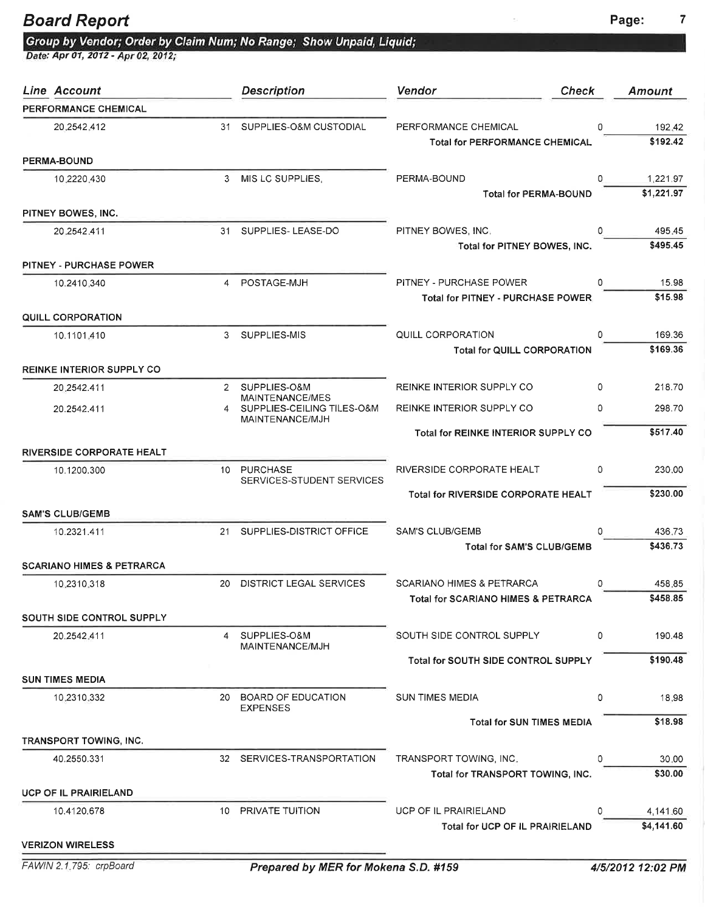#### **Board Report** Page: 2012 12:30 Page: 2014 12:30 Page: 2014 2015 2016 2017

Group by Vendor; Order by Claim Num; No Range; Show Unpaid, Liquid;<br>Date: Apr 01, 2012 - Apr 02, 2012;

| Line Account                         |                | <b>Description</b>                            | <b>Vendor</b><br><b>Check</b>                                 |   | <b>Amount</b>          |
|--------------------------------------|----------------|-----------------------------------------------|---------------------------------------------------------------|---|------------------------|
| PERFORMANCE CHEMICAL                 |                |                                               |                                                               |   |                        |
| 20.2542.412                          | 31             | SUPPLIES-O&M CUSTODIAL                        | PERFORMANCE CHEMICAL<br><b>Total for PERFORMANCE CHEMICAL</b> | 0 | 192.42<br>\$192.42     |
| PERMA-BOUND                          |                |                                               |                                                               |   |                        |
| 10.2220.430                          | 3              | MIS LC SUPPLIES.                              | PERMA-BOUND                                                   | 0 | 1,221.97               |
|                                      |                |                                               | Total for PERMA-BOUND                                         |   | \$1,221.97             |
| PITNEY BOWES, INC.                   |                |                                               |                                                               |   |                        |
| 20.2542.411                          | 31             | SUPPLIES-LEASE-DO                             | PITNEY BOWES, INC.                                            | 0 | 495.45                 |
|                                      |                |                                               | Total for PITNEY BOWES, INC.                                  |   | \$495.45               |
| <b>PITNEY - PURCHASE POWER</b>       |                |                                               |                                                               |   |                        |
| 10.2410,340                          | $\overline{4}$ | POSTAGE-MJH                                   | PITNEY - PURCHASE POWER                                       | 0 | 15.98                  |
|                                      |                |                                               | Total for PITNEY - PURCHASE POWER                             |   | \$15.98                |
| <b>QUILL CORPORATION</b>             |                |                                               |                                                               |   |                        |
| 10.1101.410                          | 3              | SUPPLIES-MIS                                  | QUILL CORPORATION                                             | 0 | 169.36<br>\$169.36     |
|                                      |                |                                               | <b>Total for QUILL CORPORATION</b>                            |   |                        |
| <b>REINKE INTERIOR SUPPLY CO</b>     |                |                                               |                                                               |   |                        |
| 20,2542.411                          |                | 2 SUPPLIES-O&M<br>MAINTENANCE/MES             | REINKE INTERIOR SUPPLY CO                                     | 0 | 218.70                 |
| 20.2542.411                          | 4              | SUPPLIES-CEILING TILES-O&M<br>MAINTENANCE/MJH | REINKE INTERIOR SUPPLY CO                                     | 0 | 298.70                 |
|                                      |                |                                               | <b>Total for REINKE INTERIOR SUPPLY CO</b>                    |   | \$517.40               |
| <b>RIVERSIDE CORPORATE HEALT</b>     |                |                                               |                                                               |   |                        |
| 10.1200.300                          |                | 10 PURCHASE                                   | RIVERSIDE CORPORATE HEALT                                     | 0 | 230.00                 |
|                                      |                | SERVICES-STUDENT SERVICES                     | <b>Total for RIVERSIDE CORPORATE HEALT</b>                    |   | \$230.00               |
| <b>SAM'S CLUB/GEMB</b>               |                |                                               |                                                               |   |                        |
| 10.2321.411                          |                | 21 SUPPLIES-DISTRICT OFFICE                   | <b>SAM'S CLUB/GEMB</b>                                        | 0 | 436.73                 |
|                                      |                |                                               | <b>Total for SAM'S CLUB/GEMB</b>                              |   | \$436.73               |
| <b>SCARIANO HIMES &amp; PETRARCA</b> |                |                                               |                                                               |   |                        |
| 10.2310.318                          | 20             | <b>DISTRICT LEGAL SERVICES</b>                | <b>SCARIANO HIMES &amp; PETRARCA</b>                          | 0 | 458.85                 |
|                                      |                |                                               | Total for SCARIANO HIMES & PETRARCA                           |   | \$458.85               |
| SOUTH SIDE CONTROL SUPPLY            |                |                                               |                                                               |   |                        |
| 20.2542.411                          | 4              | SUPPLIES-O&M                                  | SOUTH SIDE CONTROL SUPPLY                                     | 0 | 190.48                 |
|                                      |                | MAINTENANCE/MJH                               | Total for SOUTH SIDE CONTROL SUPPLY                           |   | \$190.48               |
| <b>SUN TIMES MEDIA</b>               |                |                                               |                                                               |   |                        |
| 10.2310.332                          | 20             | BOARD OF EDUCATION                            | <b>SUN TIMES MEDIA</b>                                        | 0 | 18.98                  |
|                                      |                | <b>EXPENSES</b>                               |                                                               |   |                        |
|                                      |                |                                               | <b>Total for SUN TIMES MEDIA</b>                              |   | \$18.98                |
| <b>TRANSPORT TOWING, INC.</b>        |                |                                               |                                                               |   |                        |
| 40.2550.331                          |                | 32 SERVICES-TRANSPORTATION                    | TRANSPORT TOWING, INC.                                        | 0 | 30.00                  |
|                                      |                |                                               | Total for TRANSPORT TOWING, INC.                              |   | \$30.00                |
| UCP OF IL PRAIRIELAND                |                |                                               |                                                               |   |                        |
| 10.4120.678                          |                | 10 PRIVATE TUITION                            | UCP OF IL PRAIRIELAND<br>Total for UCP OF IL PRAIRIELAND      | 0 | 4,141.60<br>\$4,141.60 |
| <b>VERIZON WIRELESS</b>              |                |                                               |                                                               |   |                        |
|                                      |                |                                               |                                                               |   |                        |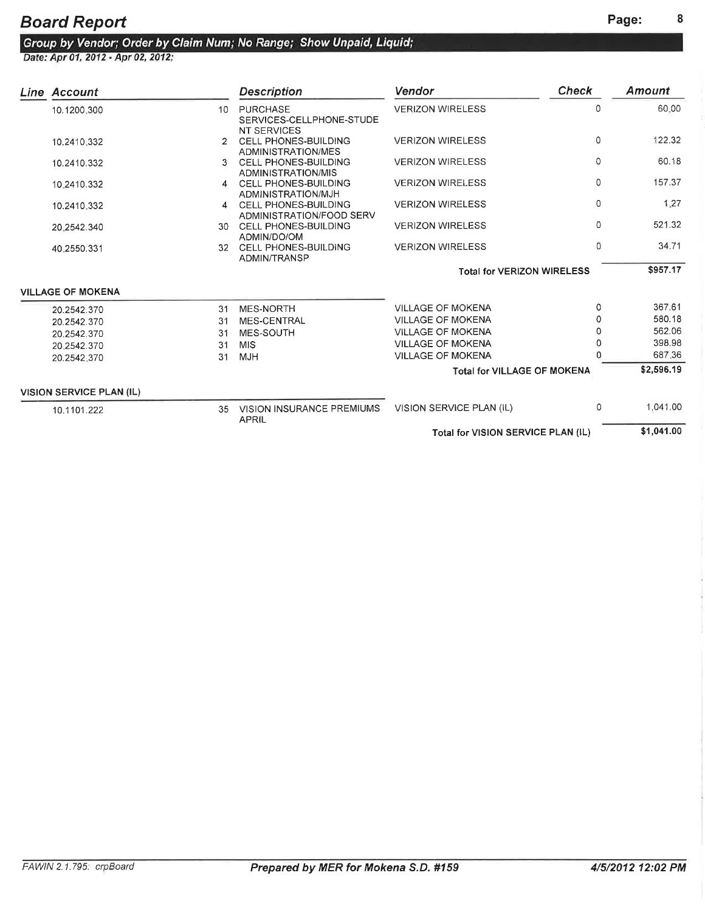| Line Account                    |                 | <b>Description</b>                                                | Vendor                             | <b>Check</b> | Amount     |
|---------------------------------|-----------------|-------------------------------------------------------------------|------------------------------------|--------------|------------|
| 10.1200.300                     | 10 <sup>°</sup> | <b>PURCHASE</b><br>SERVICES-CELLPHONE-STUDE<br><b>NT SERVICES</b> | <b>VERIZON WIRELESS</b>            | 0            | 60.00      |
| 10.2410.332                     |                 | CELL PHONES-BUILDING<br>ADMINISTRATION/MES                        | <b>VERIZON WIRELESS</b>            | $\Omega$     | 122.32     |
| 10.2410.332                     | 3.              | <b>CELL PHONES-BUILDING</b><br>ADMINISTRATION/MIS                 | <b>VERIZON WIRELESS</b>            | $\Omega$     | 60.18      |
| 10.2410.332                     | 4               | <b>CELL PHONES-BUILDING</b><br>ADMINISTRATION/MJH                 | <b>VERIZON WIRELESS</b>            | $\Omega$     | 157.37     |
| 10.2410.332                     | 4               | <b>CELL PHONES-BUILDING</b><br>ADMINISTRATION/FOOD SERV           | <b>VERIZON WIRELESS</b>            | $\Omega$     | 1.27       |
| 20.2542.340                     | 30.             | <b>CELL PHONES-BUILDING</b><br>ADMIN/DO/OM                        | <b>VERIZON WIRELESS</b>            | $\Omega$     | 521.32     |
| 40.2550.331                     |                 | 32 CELL PHONES-BUILDING<br>ADMIN/TRANSP                           | <b>VERIZON WIRELESS</b>            | $\Omega$     | 34.71      |
|                                 |                 |                                                                   | <b>Total for VERIZON WIRELESS</b>  |              | \$957.17   |
| <b>VILLAGE OF MOKENA</b>        |                 |                                                                   |                                    |              |            |
| 20.2542.370                     | 31              | <b>MES-NORTH</b>                                                  | <b>VILLAGE OF MOKENA</b>           | $\Omega$     | 367.61     |
| 20.2542.370                     | 31              | MES-CENTRAL                                                       | <b>VILLAGE OF MOKENA</b>           | 0            | 580.18     |
| 20.2542.370                     | 31              | MES-SOUTH                                                         | <b>VILLAGE OF MOKENA</b>           | Ω            | 562.06     |
| 20:2542.370                     | 31              | <b>MIS</b>                                                        | <b>VILLAGE OF MOKENA</b>           |              | 398.98     |
| 20.2542.370                     | 31              | <b>MJH</b>                                                        | <b>VILLAGE OF MOKENA</b>           |              | 687.36     |
|                                 |                 |                                                                   | <b>Total for VILLAGE OF MOKENA</b> |              | \$2,596.19 |
| <b>VISION SERVICE PLAN (IL)</b> |                 |                                                                   |                                    |              |            |
| 10.1101.222                     | 35              | VISION INSURANCE PREMIUMS<br><b>APRIL</b>                         | VISION SERVICE PLAN (IL)           | 0            | 1,041.00   |
|                                 |                 |                                                                   | Total for VISION SERVICE PLAN (IL) |              | \$1,041.00 |